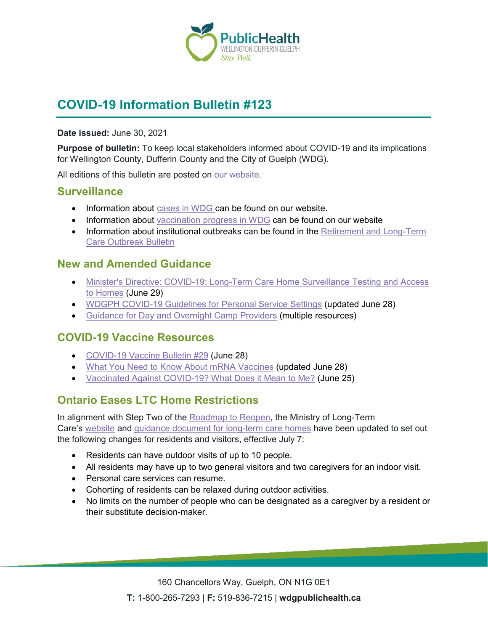

# **COVID-19 Information Bulletin #123**

#### **Date issued:** June 30, 2021

**Purpose of bulletin:** To keep local stakeholders informed about COVID-19 and its implications for Wellington County, Dufferin County and the City of Guelph (WDG).

All editions of this bulletin are posted on [our website.](https://www.wdgpublichealth.ca/your-health/covid-19-information-workplaces-and-living-spaces/community-stakeholder-bulletins)

#### **Surveillance**

- Information about [cases in WDG](https://wdgpublichealth.ca/your-health/covid-19-information-public/status-cases-wdg) can be found on our website.
- Information about [vaccination progress](https://www.wdgpublichealth.ca/your-health/covid-19-information-public/covid-19-vaccine-information-public) in WDG can be found on our website
- Information about institutional outbreaks can be found in the Retirement and Long-Term [Care Outbreak Bulletin](https://wdgpublichealth.ca/node/1542)

#### **New and Amended Guidance**

- [Minister's Directive: COVID-19: Long-Term Care Home Surveillance Testing and Access](https://www.ontario.ca/page/covid-19-long-term-care-home-surveillance-testing?_ga=2.147362871.1451772050.1624984621-1123331746.1579028832)  [to Homes](https://www.ontario.ca/page/covid-19-long-term-care-home-surveillance-testing?_ga=2.147362871.1451772050.1624984621-1123331746.1579028832) (June 29)
- [WDGPH COVID-19 Guidelines for Personal Service Settings](https://www.wdgpublichealth.ca/sites/default/files/wdg_pss_covid-19_guidelines_reopening_2021_06_28.pdf) (updated June 28)
- [Guidance for Day and Overnight Camp Providers](https://www.wdgpublichealth.ca/your-health/covid-19-information-workplaces-and-living-spaces/day-and-overnight-camp-providers) (multiple resources)

### **COVID-19 Vaccine Resources**

- [COVID-19 Vaccine Bulletin #29](https://www.wdgpublichealth.ca/sites/default/files/wdgph_covid-19_vaccine_bulletin_29_june_28_2021.pdf) (June 28)
- [What You Need to Know About mRNA Vaccines](https://www.publichealthontario.ca/-/media/documents/ncov/factsheet/2021/01/vac/factsheet-covid-19-vaccines.pdf?la=en&sc_lang=en&hash=4589F4B2FB402FDD011372160FAA6983) (updated June 28)
- [Vaccinated Against COVID-19? What Does it Mean to Me?](https://www.canada.ca/en/public-health/services/diseases/2019-novel-coronavirus-infection/awareness-resources/vaccinated-against-covid-19-public-health-measures.html) (June 25)

## **Ontario Eases LTC Home Restrictions**

In alignment with Step Two of the [Roadmap to Reopen,](https://www.ontario.ca/page/reopening-ontario) the Ministry of Long-Term Care's [website](https://www.ontario.ca/page/covid-19-information-visitors-long-term-care-homes) and guidance document [for long-term care homes](https://www.ontario.ca/page/covid-19-guidance-document-long-term-care-homes-ontario?_ga=2.51068207.72793366.1624661207-330279698.1624459878) have been updated to set out the following changes for residents and visitors, effective July 7:

- Residents can have outdoor visits of up to 10 people.
- All residents may have up to two general visitors and two caregivers for an indoor visit.
- Personal care services can resume.
- Cohorting of residents can be relaxed during outdoor activities.
- No limits on the number of people who can be designated as a caregiver by a resident or their substitute decision-maker.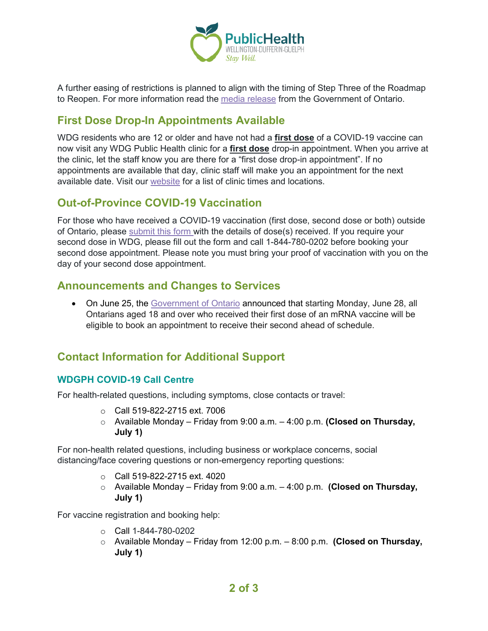

A further easing of restrictions is planned to align with the timing of Step Three of the Roadmap to Reopen. For more information read the [media release](https://news.ontario.ca/en/release/1000435/ontario-further-eases-long-term-care-home-restrictions) from the Government of Ontario.

### **First Dose Drop-In Appointments Available**

WDG residents who are 12 or older and have not had a **first dose** of a COVID-19 vaccine can now visit any WDG Public Health clinic for a **first dose** drop-in appointment. When you arrive at the clinic, let the staff know you are there for a "first dose drop-in appointment". If no appointments are available that day, clinic staff will make you an appointment for the next available date. Visit our [website](https://www.wdgpublichealth.ca/your-health/covid-19-information-public/covid-19-vaccine-information/first-dose-drop-appointments) for a list of clinic times and locations.

### **Out-of-Province COVID-19 Vaccination**

For those who have received a COVID-19 vaccination (first dose, second dose or both) outside of Ontario, please [submit this form](https://survey.wdgpublichealth.ca/surveys/index.php?s=KFJ3RY8MR9) with the details of dose(s) received. If you require your second dose in WDG, please fill out the form and call 1-844-780-0202 before booking your second dose appointment. Please note you must bring your proof of vaccination with you on the day of your second dose appointment.

#### **Announcements and Changes to Services**

• On June 25, the [Government of Ontario](https://news.ontario.ca/en/release/1000406/all-ontarians-aged-18-becoming-eligible-for-accelerated-second-doses) announced that starting Monday, June 28, all Ontarians aged 18 and over who received their first dose of an mRNA vaccine will be eligible to book an appointment to receive their second ahead of schedule.

## **Contact Information for Additional Support**

#### **WDGPH COVID-19 Call Centre**

For health-related questions, including symptoms, close contacts or travel:

- o Call 519-822-2715 ext. 7006
- o Available Monday Friday from 9:00 a.m. 4:00 p.m. **(Closed on Thursday, July 1)**

For non-health related questions, including business or workplace concerns, social distancing/face covering questions or non-emergency reporting questions:

- o Call 519-822-2715 ext. 4020
- o Available Monday Friday from 9:00 a.m. 4:00 p.m. **(Closed on Thursday, July 1)**

For vaccine registration and booking help:

- o Call 1-844-780-0202
- o Available Monday Friday from 12:00 p.m. 8:00 p.m. **(Closed on Thursday, July 1)**